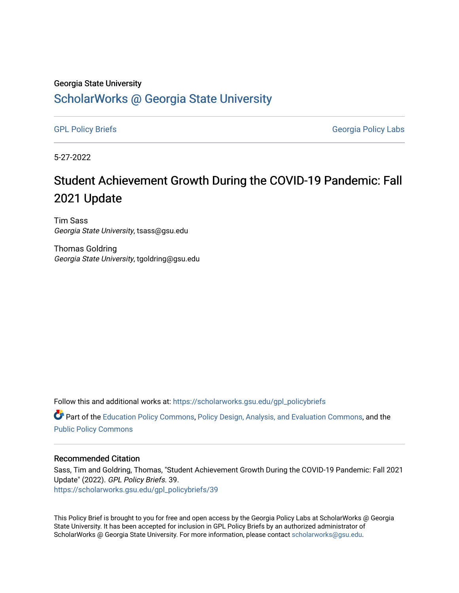#### Georgia State University

# [ScholarWorks @ Georgia State University](https://scholarworks.gsu.edu/)

[GPL Policy Briefs](https://scholarworks.gsu.edu/gpl_policybriefs) Georgia Policy Labs

5-27-2022

# Student Achievement Growth During the COVID-19 Pandemic: Fall 2021 Update

Tim Sass Georgia State University, tsass@gsu.edu

Thomas Goldring Georgia State University, tgoldring@gsu.edu

Follow this and additional works at: [https://scholarworks.gsu.edu/gpl\\_policybriefs](https://scholarworks.gsu.edu/gpl_policybriefs?utm_source=scholarworks.gsu.edu%2Fgpl_policybriefs%2F39&utm_medium=PDF&utm_campaign=PDFCoverPages) 

**C** Part of the [Education Policy Commons](https://network.bepress.com/hgg/discipline/1026?utm_source=scholarworks.gsu.edu%2Fgpl_policybriefs%2F39&utm_medium=PDF&utm_campaign=PDFCoverPages), [Policy Design, Analysis, and Evaluation Commons,](https://network.bepress.com/hgg/discipline/1032?utm_source=scholarworks.gsu.edu%2Fgpl_policybriefs%2F39&utm_medium=PDF&utm_campaign=PDFCoverPages) and the [Public Policy Commons](https://network.bepress.com/hgg/discipline/400?utm_source=scholarworks.gsu.edu%2Fgpl_policybriefs%2F39&utm_medium=PDF&utm_campaign=PDFCoverPages)

#### Recommended Citation

Sass, Tim and Goldring, Thomas, "Student Achievement Growth During the COVID-19 Pandemic: Fall 2021 Update" (2022). GPL Policy Briefs. 39. [https://scholarworks.gsu.edu/gpl\\_policybriefs/39](https://scholarworks.gsu.edu/gpl_policybriefs/39?utm_source=scholarworks.gsu.edu%2Fgpl_policybriefs%2F39&utm_medium=PDF&utm_campaign=PDFCoverPages)

This Policy Brief is brought to you for free and open access by the Georgia Policy Labs at ScholarWorks @ Georgia State University. It has been accepted for inclusion in GPL Policy Briefs by an authorized administrator of ScholarWorks @ Georgia State University. For more information, please contact [scholarworks@gsu.edu](mailto:scholarworks@gsu.edu).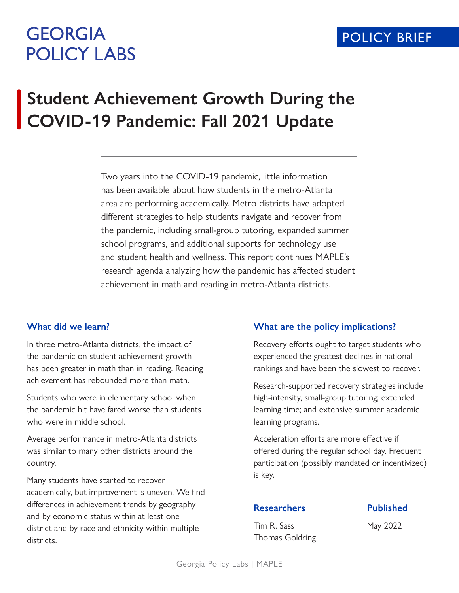# **GEORGIA POLICY LABS**

# **Student Achievement Growth During the COVID-19 Pandemic: Fall 2021 Update**

Two years into the COVID-19 pandemic, little information has been available about how students in the metro-Atlanta area are performing academically. Metro districts have adopted different strategies to help students navigate and recover from the pandemic, including small-group tutoring, expanded summer school programs, and additional supports for technology use and student health and wellness. This report continues MAPLE's research agenda analyzing how the pandemic has affected student achievement in math and reading in metro-Atlanta districts.

## **What did we learn?**

In three metro-Atlanta districts, the impact of the pandemic on student achievement growth has been greater in math than in reading. Reading achievement has rebounded more than math.

Students who were in elementary school when the pandemic hit have fared worse than students who were in middle school.

Average performance in metro-Atlanta districts was similar to many other districts around the country.

Many students have started to recover academically, but improvement is uneven. We find differences in achievement trends by geography and by economic status within at least one district and by race and ethnicity within multiple districts.

# **What are the policy implications?**

Recovery efforts ought to target students who experienced the greatest declines in national rankings and have been the slowest to recover.

Research-supported recovery strategies include high-intensity, small-group tutoring; extended learning time; and extensive summer academic learning programs.

Acceleration efforts are more effective if offered during the regular school day. Frequent participation (possibly mandated or incentivized) is key.

# **Researchers**

Tim R. Sass Thomas Goldring **Published**

May 2022